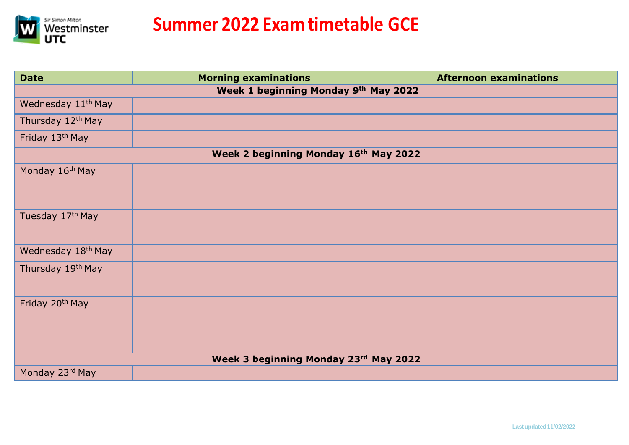

| <b>Date</b>                           | <b>Morning examinations</b>          | <b>Afternoon examinations</b> |  |
|---------------------------------------|--------------------------------------|-------------------------------|--|
|                                       | Week 1 beginning Monday 9th May 2022 |                               |  |
| Wednesday 11 <sup>th</sup> May        |                                      |                               |  |
| Thursday 12 <sup>th</sup> May         |                                      |                               |  |
| Friday 13th May                       |                                      |                               |  |
| Week 2 beginning Monday 16th May 2022 |                                      |                               |  |
| Monday 16th May                       |                                      |                               |  |
| Tuesday 17th May                      |                                      |                               |  |
| Wednesday 18th May                    |                                      |                               |  |
| Thursday 19th May                     |                                      |                               |  |
| Friday 20 <sup>th</sup> May           |                                      |                               |  |
| Week 3 beginning Monday 23rd May 2022 |                                      |                               |  |
| Monday 23rd May                       |                                      |                               |  |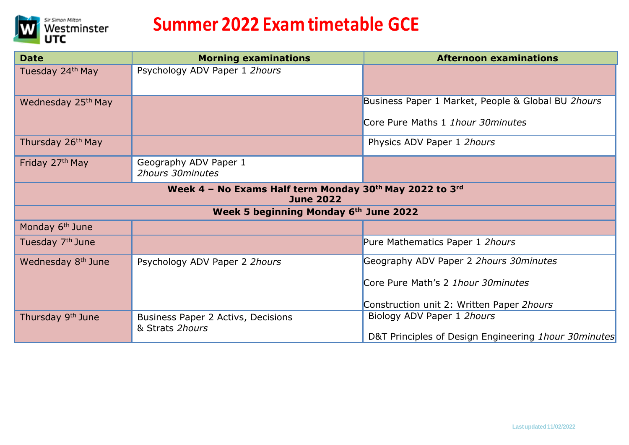

| <b>Date</b>                                                                 | <b>Morning examinations</b>                           | <b>Afternoon examinations</b>                         |
|-----------------------------------------------------------------------------|-------------------------------------------------------|-------------------------------------------------------|
| Tuesday 24 <sup>th</sup> May                                                | Psychology ADV Paper 1 2hours                         |                                                       |
| Wednesday 25th May                                                          |                                                       | Business Paper 1 Market, People & Global BU 2hours    |
|                                                                             |                                                       | Core Pure Maths 1 1hour 30 minutes                    |
| Thursday 26 <sup>th</sup> May                                               |                                                       | Physics ADV Paper 1 2hours                            |
| Friday 27 <sup>th</sup> May                                                 | Geography ADV Paper 1<br>2hours 30minutes             |                                                       |
| Week 4 - No Exams Half term Monday 30th May 2022 to 3rd<br><b>June 2022</b> |                                                       |                                                       |
| Week 5 beginning Monday 6th June 2022                                       |                                                       |                                                       |
| Monday 6 <sup>th</sup> June                                                 |                                                       |                                                       |
| Tuesday 7 <sup>th</sup> June                                                |                                                       | Pure Mathematics Paper 1 2hours                       |
| Wednesday 8 <sup>th</sup> June                                              | Psychology ADV Paper 2 2hours                         | Geography ADV Paper 2 2hours 30 minutes               |
|                                                                             |                                                       | Core Pure Math's 2 1hour 30 minutes                   |
|                                                                             |                                                       | Construction unit 2: Written Paper 2hours             |
| Thursday 9 <sup>th</sup> June                                               | Business Paper 2 Activs, Decisions<br>& Strats 2hours | Biology ADV Paper 1 2hours                            |
|                                                                             |                                                       | D&T Principles of Design Engineering 1hour 30 minutes |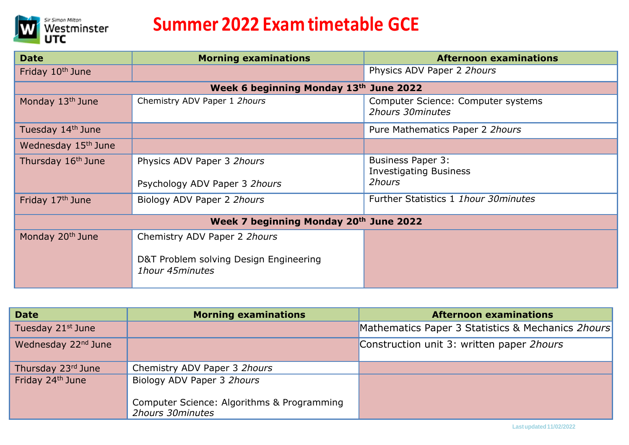

| <b>Date</b>                            | <b>Morning examinations</b>                               | <b>Afternoon examinations</b>                                       |
|----------------------------------------|-----------------------------------------------------------|---------------------------------------------------------------------|
| Friday 10 <sup>th</sup> June           |                                                           | Physics ADV Paper 2 2hours                                          |
| Week 6 beginning Monday 13th June 2022 |                                                           |                                                                     |
| Monday 13 <sup>th</sup> June           | Chemistry ADV Paper 1 2hours                              | Computer Science: Computer systems<br>2hours 30minutes              |
| Tuesday 14 <sup>th</sup> June          |                                                           | Pure Mathematics Paper 2 2hours                                     |
| Wednesday 15th June                    |                                                           |                                                                     |
| Thursday 16 <sup>th</sup> June         | Physics ADV Paper 3 2hours                                | <b>Business Paper 3:</b><br><b>Investigating Business</b><br>2hours |
|                                        | Psychology ADV Paper 3 2hours                             |                                                                     |
| Friday 17th June                       | Biology ADV Paper 2 2hours                                | Further Statistics 1 1hour 30 minutes                               |
| Week 7 beginning Monday 20th June 2022 |                                                           |                                                                     |
| Monday 20 <sup>th</sup> June           | Chemistry ADV Paper 2 2hours                              |                                                                     |
|                                        | D&T Problem solving Design Engineering<br>1hour 45minutes |                                                                     |

| <b>Date</b>                     | <b>Morning examinations</b>                                    | <b>Afternoon examinations</b>                     |
|---------------------------------|----------------------------------------------------------------|---------------------------------------------------|
| Tuesday 21st June               |                                                                | Mathematics Paper 3 Statistics & Mechanics 2hours |
| Wednesday 22 <sup>nd</sup> June |                                                                | Construction unit 3: written paper 2hours         |
| Thursday 23rd June              | Chemistry ADV Paper 3 2hours                                   |                                                   |
| Friday 24th June                | Biology ADV Paper 3 2hours                                     |                                                   |
|                                 | Computer Science: Algorithms & Programming<br>2hours 30minutes |                                                   |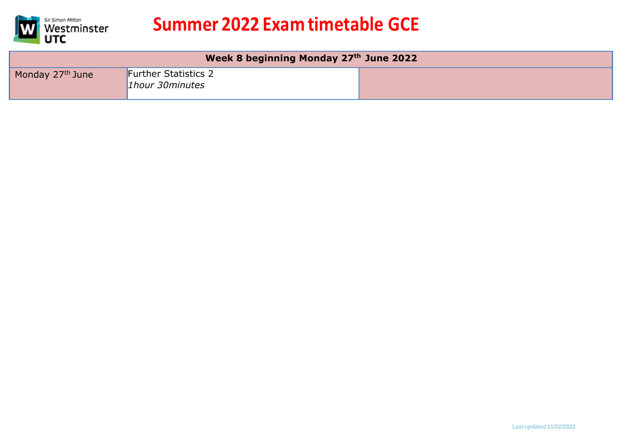

| Week 8 beginning Monday 27th June 2022 |                                                       |  |
|----------------------------------------|-------------------------------------------------------|--|
| Monday 27 <sup>th</sup> June           | <b>Further Statistics 2</b><br><i>lhour 30minutes</i> |  |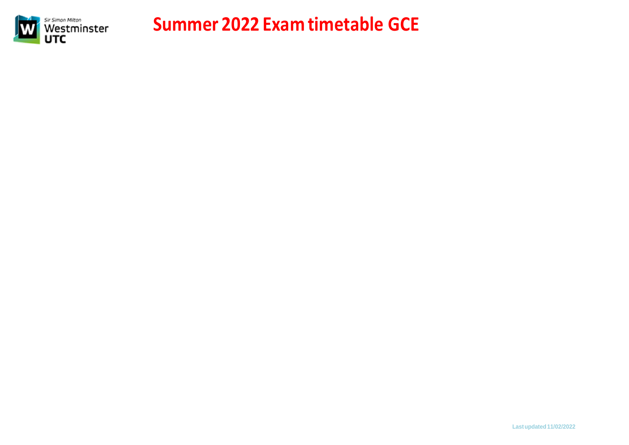